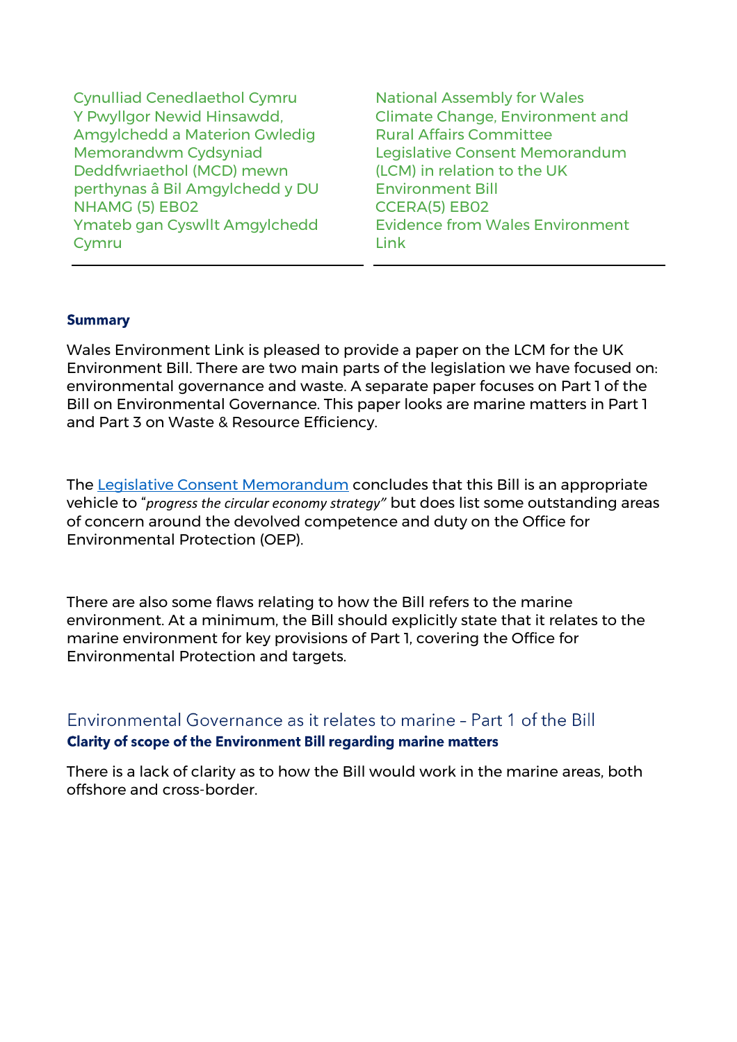Cynulliad Cenedlaethol Cymru National Assembly for Wales Y Pwyllgor Newid Hinsawdd, Amgylchedd a Materion Gwledig Memorandwm Cydsyniad Deddfwriaethol (MCD) mewn perthynas â Bil Amgylchedd y DU NHAMG (5) EB02 CCERA(5) EB02 Ymateb gan Cyswllt Amgylchedd Cymru

Climate Change, Environment and Rural Affairs Committee Legislative Consent Memorandum (LCM) in relation to the UK Environment Bill Evidence from Wales Environment Link

### **Summary**

Wales Environment Link is pleased to provide a paper on the LCM for the UK Environment Bill. There are two main parts of the legislation we have focused on: environmental governance and waste. A separate paper focuses on Part 1 of the Bill on Environmental Governance. This paper looks are marine matters in Part 1 and Part 3 on Waste & Resource Efficiency.

The [Legislative Consent Memorandum](https://www.assembly.wales/laid%20documents/lcm-ld13055/lcm-ld13055%20-e.pdf) concludes that this Bill is an appropriate vehicle to "*progress the circular economy strategy"* but does list some outstanding areas of concern around the devolved competence and duty on the Office for Environmental Protection (OEP).

There are also some flaws relating to how the Bill refers to the marine environment. At a minimum, the Bill should explicitly state that it relates to the marine environment for key provisions of Part 1, covering the Office for Environmental Protection and targets.

## Environmental Governance as it relates to marine - Part 1 of the Bill Clarity of scope of the Environment Bill regarding marine matters

There is a lack of clarity as to how the Bill would work in the marine areas, both offshore and cross-border.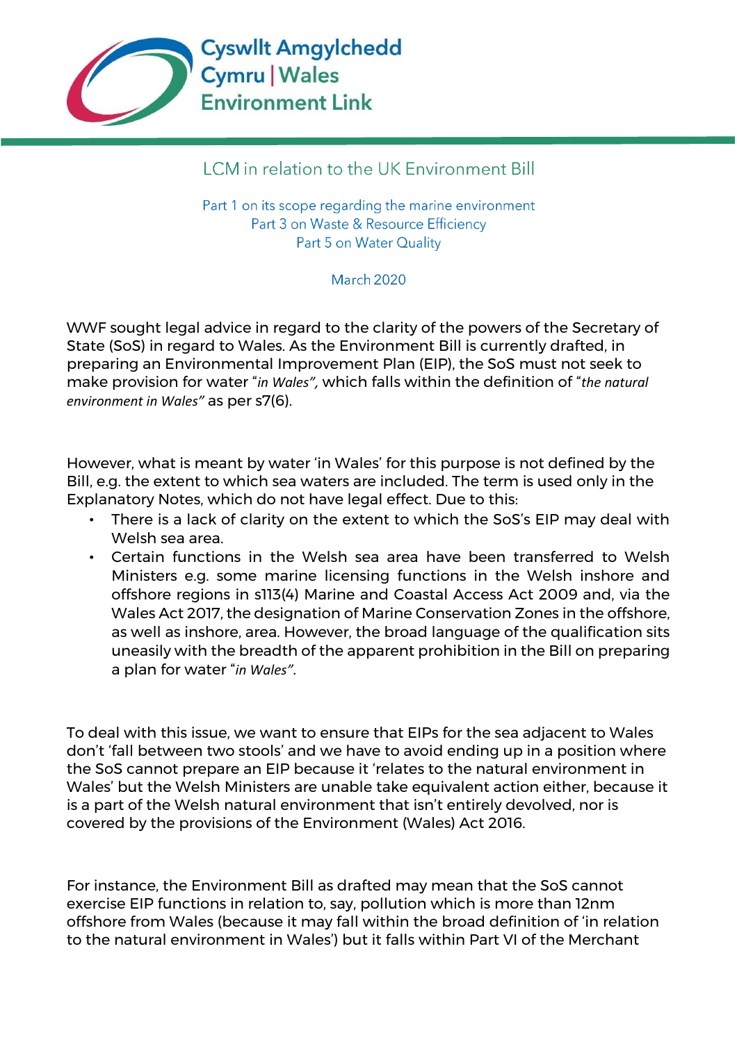

# LCM in relation to the UK Environment Bill

Part 1 on its scope regarding the marine environment Part 3 on Waste & Resource Efficiency Part 5 on Water Quality

## **March 2020**

WWF sought legal advice in regard to the clarity of the powers of the Secretary of State (SoS) in regard to Wales. As the Environment Bill is currently drafted, in preparing an Environmental Improvement Plan (EIP), the SoS must not seek to make provision for water "*in Wales",* which falls within the definition of "*the natural environment in Wales"* as per s7(6).

However, what is meant by water 'in Wales' for this purpose is not defined by the Bill, e.g. the extent to which sea waters are included. The term is used only in the Explanatory Notes, which do not have legal effect. Due to this:

- There is a lack of clarity on the extent to which the SoS's EIP may deal with Welsh sea area.
- Certain functions in the Welsh sea area have been transferred to Welsh Ministers e.g. some marine licensing functions in the Welsh inshore and offshore regions in s113(4) Marine and Coastal Access Act 2009 and, via the Wales Act 2017, the designation of Marine Conservation Zones in the offshore, as well as inshore, area. However, the broad language of the qualification sits uneasily with the breadth of the apparent prohibition in the Bill on preparing a plan for water "*in Wales".*

To deal with this issue, we want to ensure that EIPs for the sea adjacent to Wales don't 'fall between two stools' and we have to avoid ending up in a position where the SoS cannot prepare an EIP because it 'relates to the natural environment in Wales' but the Welsh Ministers are unable take equivalent action either, because it is a part of the Welsh natural environment that isn't entirely devolved, nor is covered by the provisions of the Environment (Wales) Act 2016.

For instance, the Environment Bill as drafted may mean that the SoS cannot exercise EIP functions in relation to, say, pollution which is more than 12nm offshore from Wales (because it may fall within the broad definition of 'in relation to the natural environment in Wales') but it falls within Part VI of the Merchant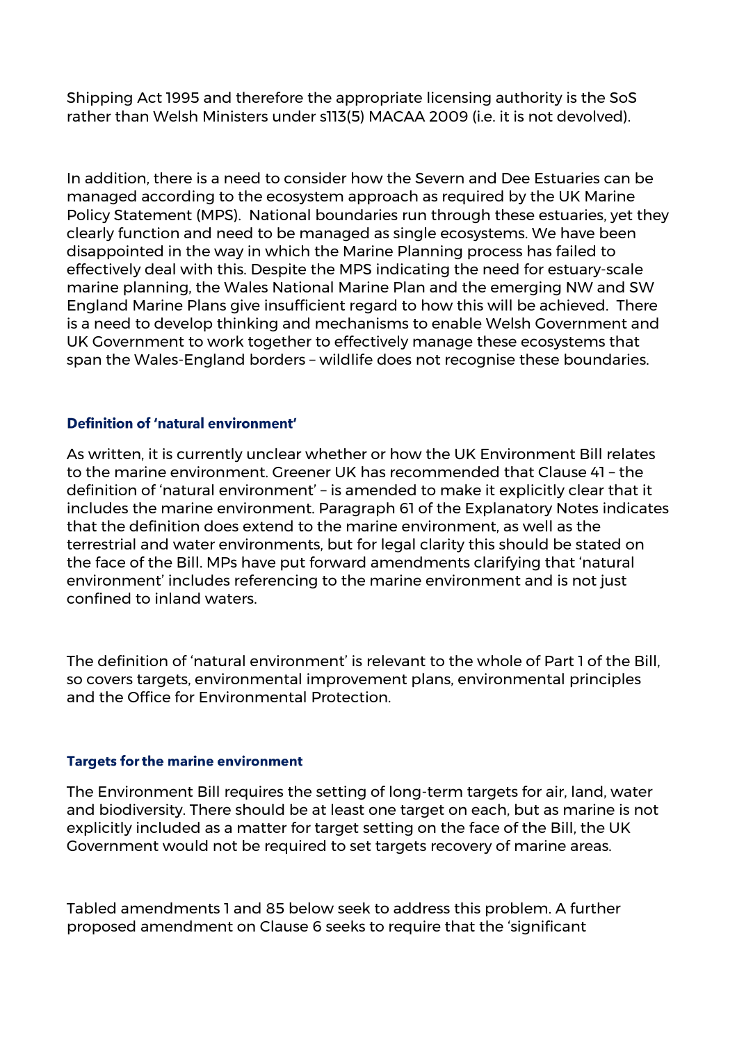Shipping Act 1995 and therefore the appropriate licensing authority is the SoS rather than Welsh Ministers under s113(5) MACAA 2009 (i.e. it is not devolved).

In addition, there is a need to consider how the Severn and Dee Estuaries can be managed according to the ecosystem approach as required by the UK Marine Policy Statement (MPS). National boundaries run through these estuaries, yet they clearly function and need to be managed as single ecosystems. We have been disappointed in the way in which the Marine Planning process has failed to effectively deal with this. Despite the MPS indicating the need for estuary-scale marine planning, the Wales National Marine Plan and the emerging NW and SW England Marine Plans give insufficient regard to how this will be achieved. There is a need to develop thinking and mechanisms to enable Welsh Government and UK Government to work together to effectively manage these ecosystems that span the Wales-England borders – wildlife does not recognise these boundaries.

### Definition of 'natural environment'

As written, it is currently unclear whether or how the UK Environment Bill relates to the marine environment. Greener UK has recommended that Clause 41 – the definition of 'natural environment' – is amended to make it explicitly clear that it includes the marine environment. Paragraph 61 of the Explanatory Notes indicates that the definition does extend to the marine environment, as well as the terrestrial and water environments, but for legal clarity this should be stated on the face of the Bill. MPs have put forward amendments clarifying that 'natural environment' includes referencing to the marine environment and is not just confined to inland waters.

The definition of 'natural environment' is relevant to the whole of Part 1 of the Bill, so covers targets, environmental improvement plans, environmental principles and the Office for Environmental Protection.

### **Targets for the marine environment**

The Environment Bill requires the setting of long-term targets for air, land, water and biodiversity. There should be at least one target on each, but as marine is not explicitly included as a matter for target setting on the face of the Bill, the UK Government would not be required to set targets recovery of marine areas.

Tabled amendments 1 and 85 below seek to address this problem. A further proposed amendment on Clause 6 seeks to require that the 'significant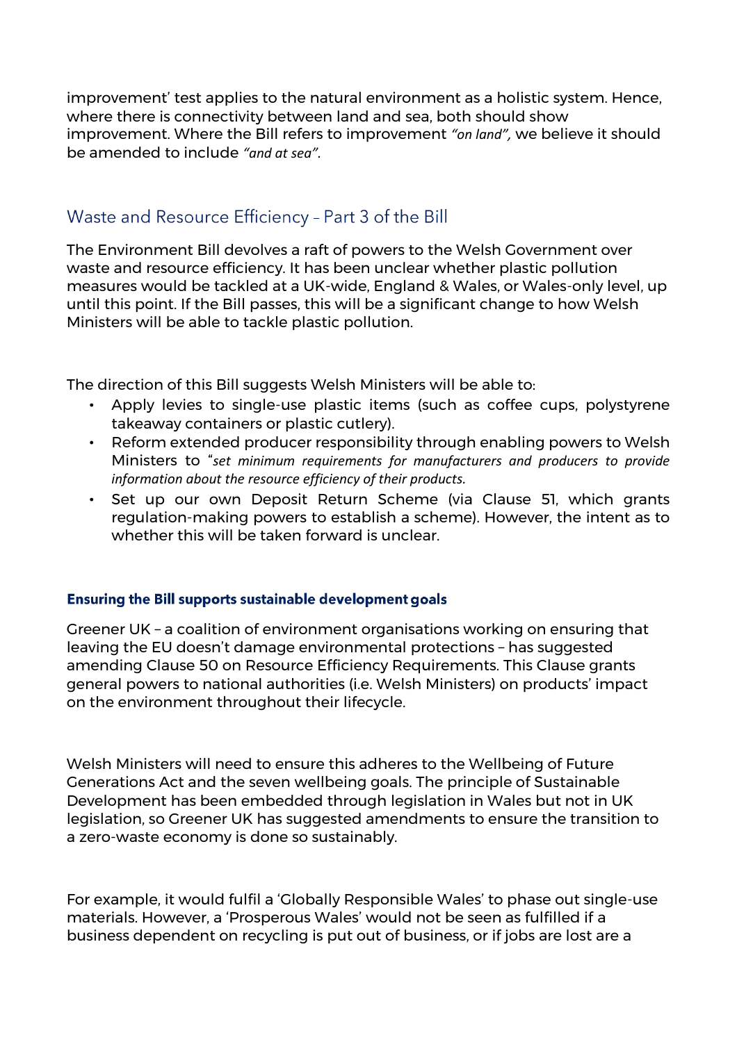improvement' test applies to the natural environment as a holistic system. Hence, where there is connectivity between land and sea, both should show improvement. Where the Bill refers to improvement *"on land",* we believe it should be amended to include *"and at sea".*

## Waste and Resource Efficiency - Part 3 of the Bill

The Environment Bill devolves a raft of powers to the Welsh Government over waste and resource efficiency. It has been unclear whether plastic pollution measures would be tackled at a UK-wide, England & Wales, or Wales-only level, up until this point. If the Bill passes, this will be a significant change to how Welsh Ministers will be able to tackle plastic pollution.

The direction of this Bill suggests Welsh Ministers will be able to:

- Apply levies to single-use plastic items (such as coffee cups, polystyrene takeaway containers or plastic cutlery).
- Reform extended producer responsibility through enabling powers to Welsh Ministers to "*set minimum requirements for manufacturers and producers to provide information about the resource efficiency of their products.*
- Set up our own Deposit Return Scheme (via Clause 51, which grants regulation-making powers to establish a scheme). However, the intent as to whether this will be taken forward is unclear.

## **Ensuring the Bill supports sustainable development goals**

Greener UK – a coalition of environment organisations working on ensuring that leaving the EU doesn't damage environmental protections – has suggested amending Clause 50 on Resource Efficiency Requirements. This Clause grants general powers to national authorities (i.e. Welsh Ministers) on products' impact on the environment throughout their lifecycle.

Welsh Ministers will need to ensure this adheres to the Wellbeing of Future Generations Act and the seven wellbeing goals. The principle of Sustainable Development has been embedded through legislation in Wales but not in UK legislation, so Greener UK has suggested amendments to ensure the transition to a zero-waste economy is done so sustainably.

For example, it would fulfil a 'Globally Responsible Wales' to phase out single-use materials. However, a 'Prosperous Wales' would not be seen as fulfilled if a business dependent on recycling is put out of business, or if jobs are lost are a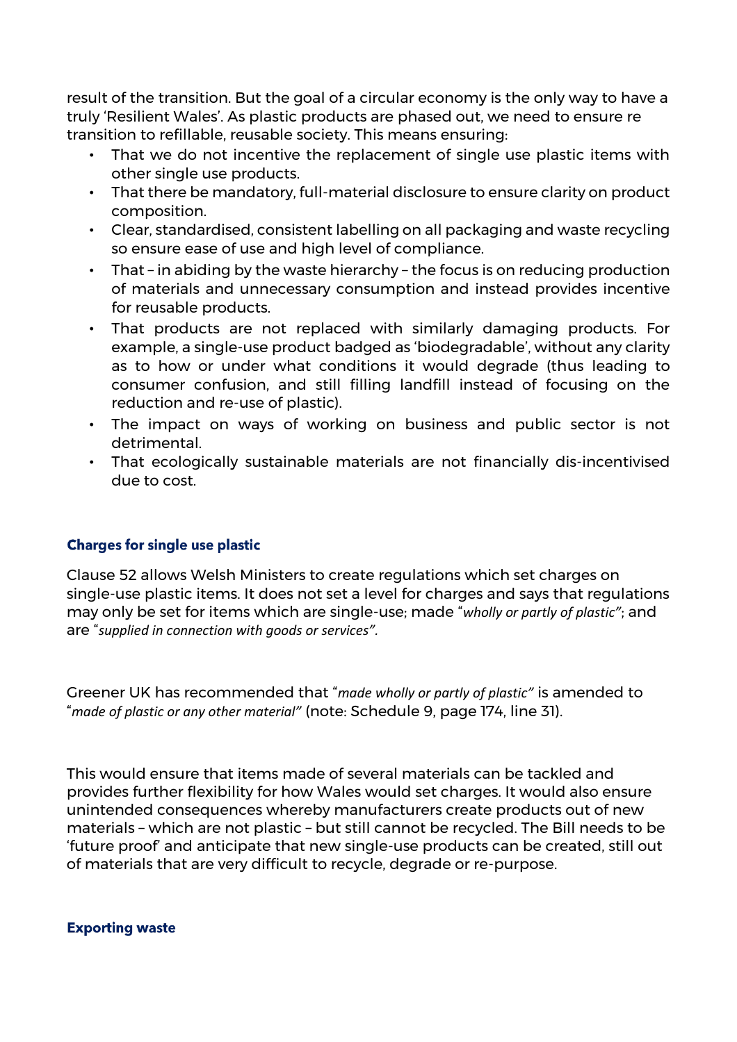result of the transition. But the goal of a circular economy is the only way to have a truly 'Resilient Wales'. As plastic products are phased out, we need to ensure re transition to refillable, reusable society. This means ensuring:

- That we do not incentive the replacement of single use plastic items with other single use products.
- That there be mandatory, full-material disclosure to ensure clarity on product composition.
- Clear, standardised, consistent labelling on all packaging and waste recycling so ensure ease of use and high level of compliance.
- That in abiding by the waste hierarchy the focus is on reducing production of materials and unnecessary consumption and instead provides incentive for reusable products.
- That products are not replaced with similarly damaging products. For example, a single-use product badged as 'biodegradable', without any clarity as to how or under what conditions it would degrade (thus leading to consumer confusion, and still filling landfill instead of focusing on the reduction and re-use of plastic).
- The impact on ways of working on business and public sector is not detrimental.
- That ecologically sustainable materials are not financially dis-incentivised due to cost.

## **Charges for single use plastic**

Clause 52 allows Welsh Ministers to create regulations which set charges on single-use plastic items. It does not set a level for charges and says that regulations may only be set for items which are single-use; made "*wholly or partly of plastic"*; and are "*supplied in connection with goods or services".* 

Greener UK has recommended that "*made wholly or partly of plastic"* is amended to "*made of plastic or any other material"* (note: Schedule 9, page 174, line 31).

This would ensure that items made of several materials can be tackled and provides further flexibility for how Wales would set charges. It would also ensure unintended consequences whereby manufacturers create products out of new materials – which are not plastic – but still cannot be recycled. The Bill needs to be 'future proof' and anticipate that new single-use products can be created, still out of materials that are very difficult to recycle, degrade or re-purpose.

**Exporting waste**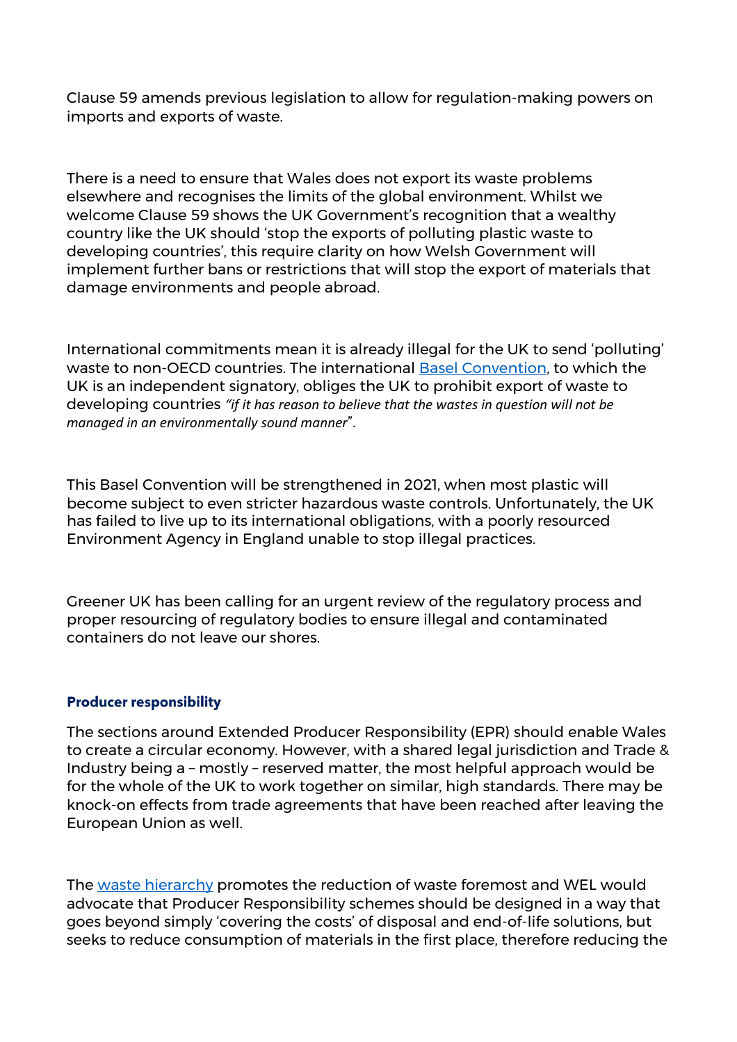Clause 59 amends previous legislation to allow for regulation-making powers on imports and exports of waste.

There is a need to ensure that Wales does not export its waste problems elsewhere and recognises the limits of the global environment. Whilst we welcome Clause 59 shows the UK Government's recognition that a wealthy country like the UK should 'stop the exports of polluting plastic waste to developing countries', this require clarity on how Welsh Government will implement further bans or restrictions that will stop the export of materials that damage environments and people abroad.

International commitments mean it is already illegal for the UK to send 'polluting' waste to non-OECD countries. The international [Basel Convention,](http://www.basel.int/TheConvention/Overview/TextoftheConvention/tabid/1275/Default.aspx) to which the UK is an independent signatory, obliges the UK to prohibit export of waste to developing countries *"if it has reason to believe that the wastes in question will not be managed in an environmentally sound manner*".

This Basel Convention will be strengthened in 2021, when most plastic will become subject to [even stricter hazardous waste controls.](https://www.asil.org/insights/volume/23/issue/7/basel-convention-parties-take-global-lead-mitigating-plastic-pollution) Unfortunately, the UK has failed to live up to its international obligations, with a poorly resourced Environment Agency in England unable to stop [illegal practices.](https://www.ciel.org/wp-content/uploads/2019/02/Plastic-and-Health-The-Hidden-Costs-of-a-Plastic-Planet-February-2019.pdf) 

Greener UK has been calling for an urgent review of the regulatory process and proper resourcing of regulatory bodies to ensure illegal and contaminated containers do not leave our shores.

### **Producer responsibility**

The sections around Extended Producer Responsibility (EPR) should enable Wales to create a circular economy. However, with a shared legal jurisdiction and Trade & Industry being a – mostly – reserved matter, the most helpful approach would be for the whole of the UK to work together on similar, high standards. There may be knock-on effects from trade agreements that have been reached after leaving the European Union as well.

The [waste hierarchy](https://ec.europa.eu/environment/waste/framework/) promotes the reduction of waste foremost and WEL would advocate that Producer Responsibility schemes should be designed in a way that goes beyond simply 'covering the costs' of disposal and end-of-life solutions, but seeks to reduce consumption of materials in the first place, therefore reducing the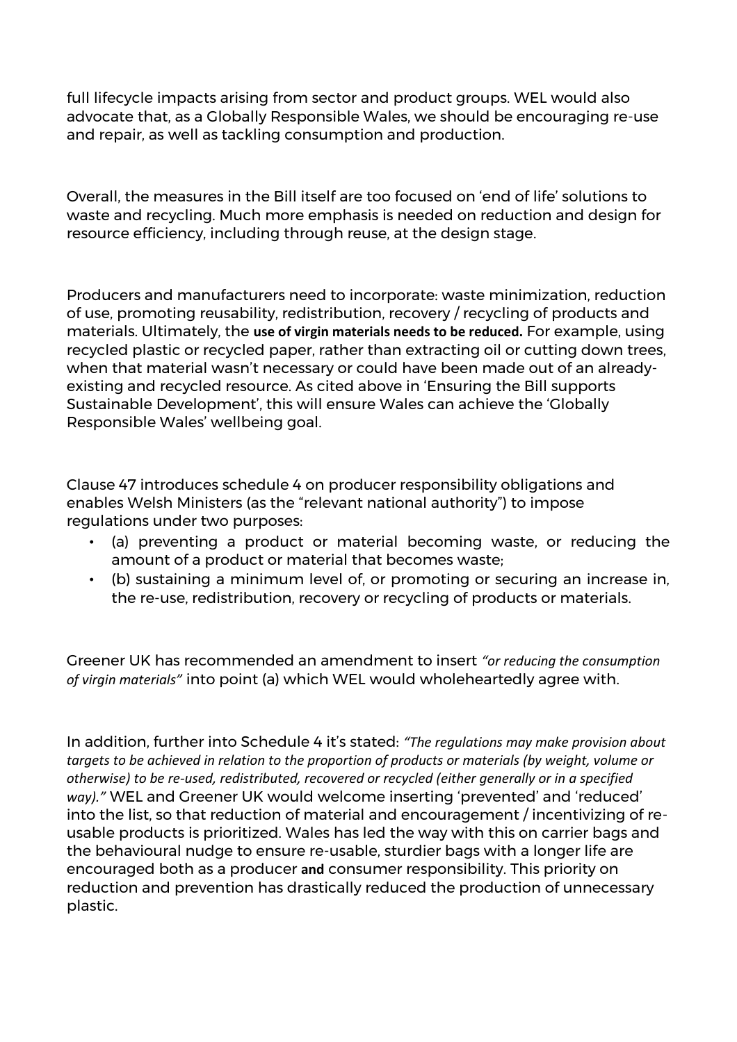full lifecycle impacts arising from sector and product groups. WEL would also advocate that, as a Globally Responsible Wales, we should be encouraging re-use and repair, as well as tackling consumption and production.

Overall, the measures in the Bill itself are too focused on 'end of life' solutions to waste and recycling. Much more emphasis is needed on reduction and design for resource efficiency, including through reuse, at the design stage.

Producers and manufacturers need to incorporate: waste minimization, reduction of use, promoting reusability, redistribution, recovery / recycling of products and materials. Ultimately, the **use of virgin materials needs to be reduced.** For example, using recycled plastic or recycled paper, rather than extracting oil or cutting down trees, when that material wasn't necessary or could have been made out of an alreadyexisting and recycled resource. As cited above in 'Ensuring the Bill supports Sustainable Development', this will ensure Wales can achieve the 'Globally Responsible Wales' wellbeing goal.

Clause 47 introduces schedule 4 on producer responsibility obligations and enables Welsh Ministers (as the "relevant national authority") to impose regulations under two purposes:

- (a) preventing a product or material becoming waste, or reducing the amount of a product or material that becomes waste;
- (b) sustaining a minimum level of, or promoting or securing an increase in, the re-use, redistribution, recovery or recycling of products or materials.

Greener UK has recommended an amendment to insert *"or reducing the consumption of virgin materials"* into point (a) which WEL would wholeheartedly agree with.

In addition, further into Schedule 4 it's stated: *"The regulations may make provision about targets to be achieved in relation to the proportion of products or materials (by weight, volume or otherwise) to be re-used, redistributed, recovered or recycled (either generally or in a specified way)."* WEL and Greener UK would welcome inserting 'prevented' and 'reduced' into the list, so that reduction of material and encouragement / incentivizing of reusable products is prioritized. Wales has led the way with this on carrier bags and the behavioural nudge to ensure re-usable, sturdier bags with a longer life are encouraged both as a producer **and** consumer responsibility. This priority on reduction and prevention has drastically reduced the production of unnecessary plastic.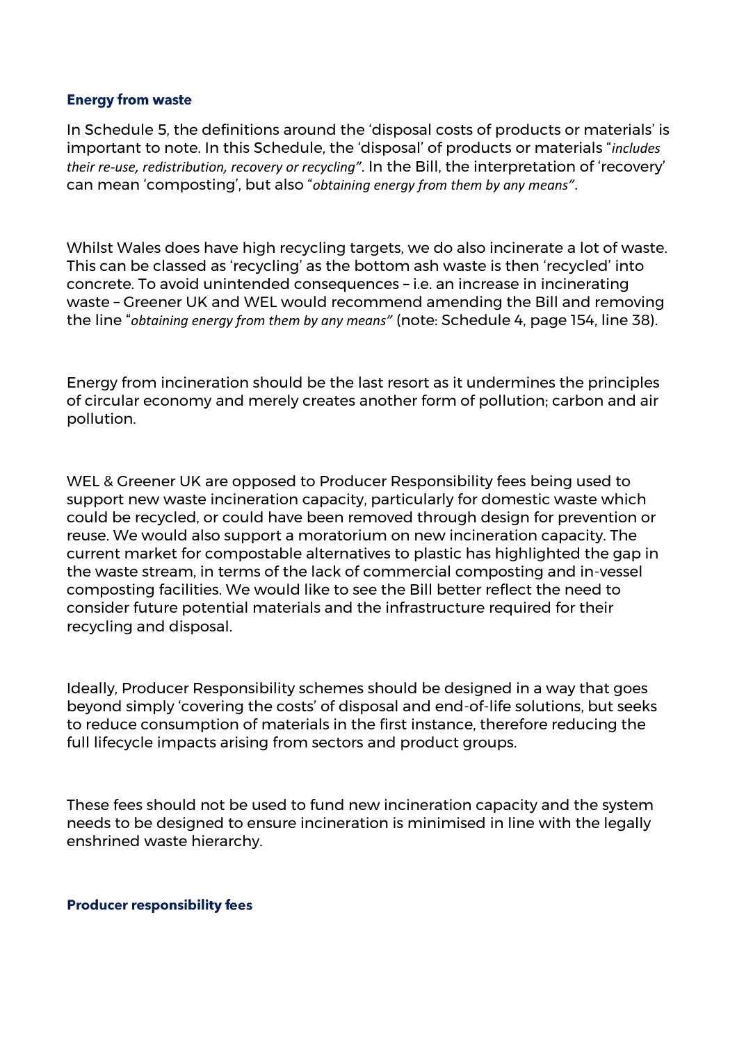#### **Energy from waste**

In Schedule 5, the definitions around the 'disposal costs of products or materials' is important to note. In this Schedule, the 'disposal' of products or materials "*includes their re-use, redistribution, recovery or recycling"*. In the Bill, the interpretation of 'recovery' can mean 'composting', but also "*obtaining energy from them by any means"*.

Whilst Wales does have high recycling targets, we do also incinerate a lot of waste. This can be classed as 'recycling' as the bottom ash waste is then 'recycled' into concrete. To avoid unintended consequences – i.e. an increase in incinerating waste – Greener UK and WEL would recommend amending the Bill and removing the line "*obtaining energy from them by any means"* (note: Schedule 4, page 154, line 38).

Energy from incineration should be the last resort as it undermines the principles of circular economy and merely creates another form of pollution; carbon and air pollution.

WEL & Greener UK are opposed to Producer Responsibility fees being used to support new waste incineration capacity, particularly for domestic waste which could be recycled, or could have been removed through design for prevention or reuse. We would also support a moratorium on new incineration capacity. The current market for compostable alternatives to plastic has highlighted the gap in the waste stream, in terms of the lack of commercial composting and in-vessel composting facilities. We would like to see the Bill better reflect the need to consider future potential materials and the infrastructure required for their recycling and disposal.

Ideally, Producer Responsibility schemes should be designed in a way that goes beyond simply 'covering the costs' of disposal and end-of-life solutions, but seeks to reduce consumption of materials in the first instance, therefore reducing the full lifecycle impacts arising from sectors and product groups.

These fees should not be used to fund new incineration capacity and the system needs to be designed to ensure incineration is minimised in line with the legally enshrined waste hierarchy.

#### **Producer responsibility fees**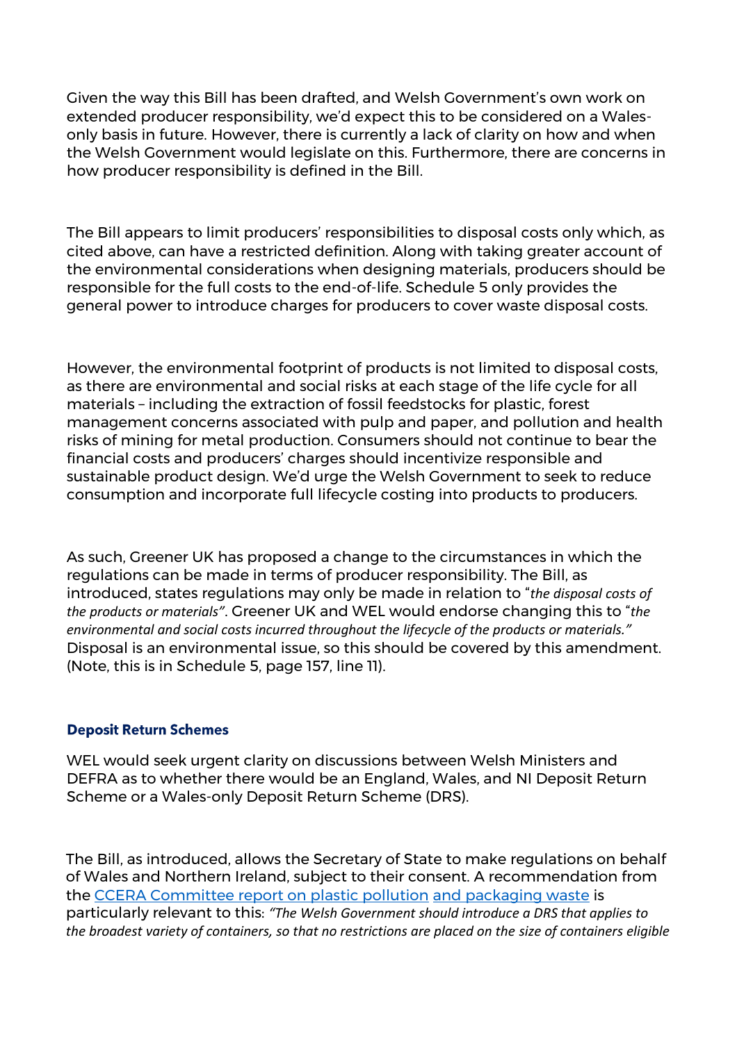Given the way this Bill has been drafted, and Welsh Government's own work on extended producer responsibility, we'd expect this to be considered on a Walesonly basis in future. However, there is currently a lack of clarity on how and when the Welsh Government would legislate on this. Furthermore, there are concerns in how producer responsibility is defined in the Bill.

The Bill appears to limit producers' responsibilities to disposal costs only which, as cited above, can have a restricted definition. Along with taking greater account of the environmental considerations when designing materials, producers should be responsible for the full costs to the end-of-life. Schedule 5 only provides the general power to introduce charges for producers to cover waste disposal costs.

However, the environmental footprint of products is not limited to disposal costs, as there are environmental and social risks at each stage of the life cycle for all materials – including the extraction [of fossil feedstocks](https://www.ciel.org/wp-content/uploads/2019/02/Plastic-and-Health-The-Hidden-Costs-of-a-Plastic-Planet-February-2019.pdf) for plastic, forest management concerns associated wi[th pulp and paper,](https://environmentalpaper.org/2019/03/the-paper-and-packaging-boom-a-growing-wave-of-pulp-production-threatens-the-worlds-forests-and-climate) and pollution and health risks [of mining for metal](http://iiumedic.net/imjm/v1/download/volume_16_no_2/IMJM-Vol16-No2-137150.pdf) [p](http://iiumedic.net/imjm/v1/download/volume_16_no_2/IMJM-Vol16-No2-137150.pdf)roduction. Consumers should not continue to bear the financial costs and producers' charges should incentivize responsible and sustainable product design. We'd urge the Welsh Government to seek to reduce consumption and incorporate full lifecycle costing into products to producers.

As such, Greener UK has proposed a change to the circumstances in which the regulations can be made in terms of producer responsibility. The Bill, as introduced, states regulations may only be made in relation to "*the disposal costs of the products or materials"*. Greener UK and WEL would endorse changing this to "*the environmental and social costs incurred throughout the lifecycle of the products or materials."*  Disposal is an environmental issue, so this should be covered by this amendment. (Note, this is in Schedule 5, page 157, line 11).

### **Deposit Return Schemes**

WEL would seek urgent clarity on discussions between Welsh Ministers and DEFRA as to whether there would be an England, Wales, and NI Deposit Return Scheme or a Wales-only Deposit Return Scheme (DRS).

The Bill, as introduced, allows the Secretary of State to make regulations on behalf of Wales and Northern Ireland, subject to their consent. A recommendation from the [CCERA Committee report on plastic pollution](https://www.assembly.wales/laid%20documents/cr-ld12549/cr-ld12549-e.pdf) [and packaging waste](https://www.assembly.wales/laid%20documents/cr-ld12549/cr-ld12549-e.pdf) is particularly relevant to this: *"The Welsh Government should introduce a DRS that applies to the broadest variety of containers, so that no restrictions are placed on the size of containers eligible*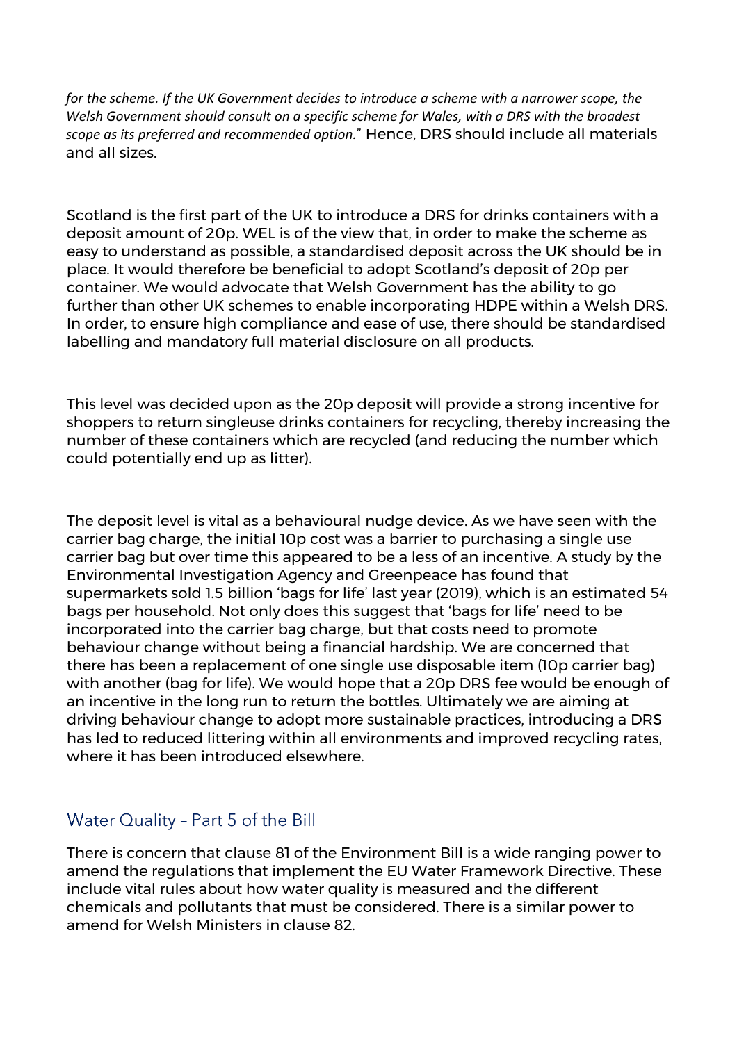*for the scheme. If the UK Government decides to introduce a scheme with a narrower scope, the Welsh Government should consult on a specific scheme for Wales, with a DRS with the broadest scope as its preferred and recommended option.*" Hence, DRS should include all materials and all sizes.

Scotland is the first part of the UK to introduce a DRS for drinks containers with a deposit amount of 20p. WEL is of the view that, in order to make the scheme as easy to understand as possible, a standardised deposit across the UK should be in place. It would therefore be beneficial to adopt Scotland's deposit of 20p per container. We would advocate that Welsh Government has the ability to go further than other UK schemes to enable incorporating HDPE within a Welsh DRS. In order, to ensure high compliance and ease of use, there should be standardised labelling and mandatory full material disclosure on all products.

This level was decided upon as the 20p deposit will provide a strong incentive for shoppers to return singleuse drinks containers for recycling, thereby increasing the number of these containers which are recycled (and reducing the number which could potentially end up as litter).

The deposit level is vital as a behavioural nudge device. As we have seen with the carrier bag charge, the initial 10p cost was a barrier to purchasing a single use carrier bag but over time this appeared to be a less of an incentive. A study by the Environmental Investigation Agency and Greenpeace has found that supermarkets sold 1.5 billion 'bags for life' last year (2019), which is an estimated 54 bags per household. Not only does this suggest that 'bags for life' need to be incorporated into the carrier bag charge, but that costs need to promote behaviour change without being a financial hardship. We are concerned that there has been a replacement of one single use disposable item (10p carrier bag) with another (bag for life). We would hope that a 20p DRS fee would be enough of an incentive in the long run to return the bottles. Ultimately we are aiming at driving behaviour change to adopt more sustainable practices, introducing a DRS has led to reduced littering within all environments and improved recycling rates, where it has been introduced elsewhere.

# Water Quality - Part 5 of the Bill

There is concern that clause 81 of the Environment Bill is a wide ranging power to amend the regulations that implement the EU Water Framework Directive. These include vital rules about how water quality is measured and the different chemicals and pollutants that must be considered. There is a similar power to amend for Welsh Ministers in clause 82.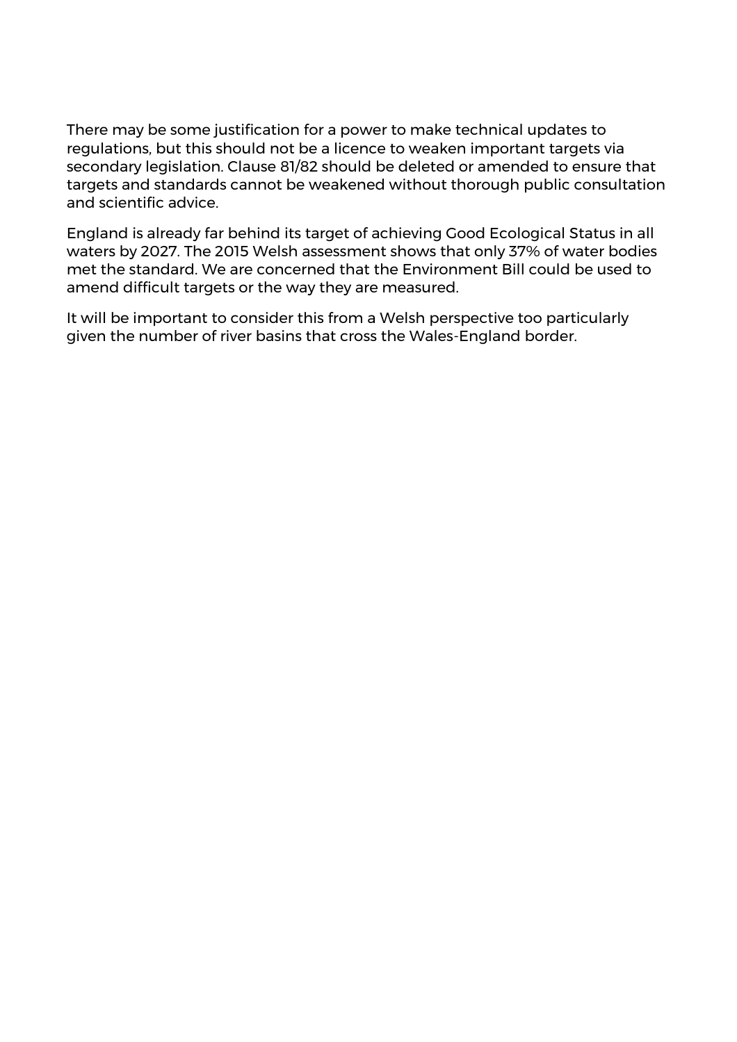There may be some justification for a power to make technical updates to regulations, but this should not be a licence to weaken important targets via secondary legislation. Clause 81/82 should be deleted or amended to ensure that targets and standards cannot be weakened without thorough public consultation and scientific advice.

England is already far behind its target of achieving Good Ecological Status in all waters by 2027. The 2015 Welsh assessment shows that only 37% of water bodies met the standard. We are concerned that the Environment Bill could be used to amend difficult targets or the way they are measured.

It will be important to consider this from a Welsh perspective too particularly given the number of river basins that cross the Wales-England border.